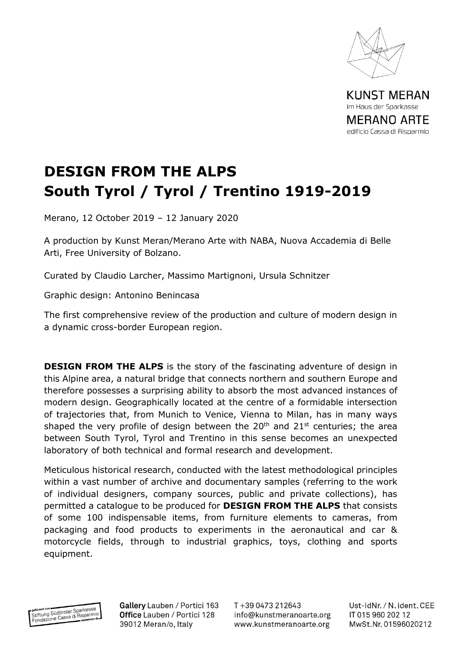

**KUNST MERAN** im Haus der Sparkasse **MERANO ARTE** edificio Cassa di Risparmio

## **DESIGN FROM THE ALPS South Tyrol / Tyrol / Trentino 1919-2019**

Merano, 12 October 2019 – 12 January 2020

A production by Kunst Meran/Merano Arte with NABA, Nuova Accademia di Belle Arti, Free University of Bolzano.

Curated by Claudio Larcher, Massimo Martignoni, Ursula Schnitzer

Graphic design: Antonino Benincasa

The first comprehensive review of the production and culture of modern design in a dynamic cross-border European region.

**DESIGN FROM THE ALPS** is the story of the fascinating adventure of design in this Alpine area, a natural bridge that connects northern and southern Europe and therefore possesses a surprising ability to absorb the most advanced instances of modern design. Geographically located at the centre of a formidable intersection of trajectories that, from Munich to Venice, Vienna to Milan, has in many ways shaped the very profile of design between the  $20<sup>th</sup>$  and  $21<sup>st</sup>$  centuries; the area between South Tyrol, Tyrol and Trentino in this sense becomes an unexpected laboratory of both technical and formal research and development.

Meticulous historical research, conducted with the latest methodological principles within a vast number of archive and documentary samples (referring to the work of individual designers, company sources, public and private collections), has permitted a catalogue to be produced for **DESIGN FROM THE ALPS** that consists of some 100 indispensable items, from furniture elements to cameras, from packaging and food products to experiments in the aeronautical and car & motorcycle fields, through to industrial graphics, toys, clothing and sports equipment.



Gallery Lauben / Portici 163 Office Lauben / Portici 128 39012 Meran/o, Italy

T+39 0473 212643 info@kunstmeranoarte.org www.kunstmeranoarte.org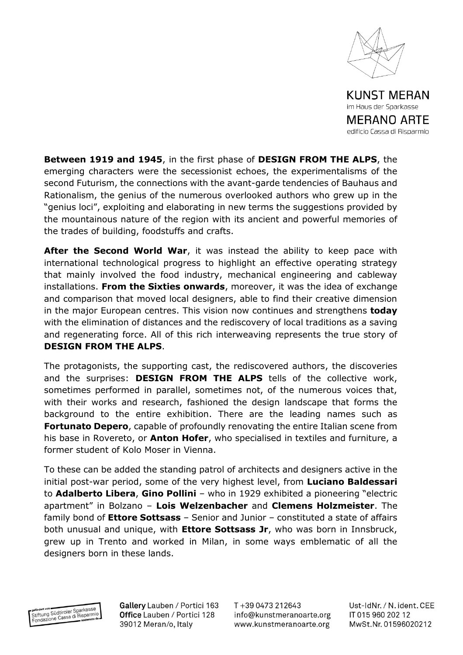

edificio Cassa di Risparmio

**Between 1919 and 1945**, in the first phase of **DESIGN FROM THE ALPS**, the emerging characters were the secessionist echoes, the experimentalisms of the second Futurism, the connections with the avant-garde tendencies of Bauhaus and Rationalism, the genius of the numerous overlooked authors who grew up in the "genius loci", exploiting and elaborating in new terms the suggestions provided by the mountainous nature of the region with its ancient and powerful memories of the trades of building, foodstuffs and crafts.

**After the Second World War**, it was instead the ability to keep pace with international technological progress to highlight an effective operating strategy that mainly involved the food industry, mechanical engineering and cableway installations. **From the Sixties onwards**, moreover, it was the idea of exchange and comparison that moved local designers, able to find their creative dimension in the major European centres. This vision now continues and strengthens **today** with the elimination of distances and the rediscovery of local traditions as a saving and regenerating force. All of this rich interweaving represents the true story of **DESIGN FROM THE ALPS**.

The protagonists, the supporting cast, the rediscovered authors, the discoveries and the surprises: **DESIGN FROM THE ALPS** tells of the collective work, sometimes performed in parallel, sometimes not, of the numerous voices that, with their works and research, fashioned the design landscape that forms the background to the entire exhibition. There are the leading names such as **Fortunato Depero**, capable of profoundly renovating the entire Italian scene from his base in Rovereto, or **Anton Hofer**, who specialised in textiles and furniture, a former student of Kolo Moser in Vienna.

To these can be added the standing patrol of architects and designers active in the initial post-war period, some of the very highest level, from **Luciano Baldessari** to **Adalberto Libera**, **Gino Pollini** – who in 1929 exhibited a pioneering "electric apartment" in Bolzano – **Lois Welzenbacher** and **Clemens Holzmeister**. The family bond of **Ettore Sottsass** – Senior and Junior – constituted a state of affairs both unusual and unique, with **Ettore Sottsass Jr**, who was born in Innsbruck, grew up in Trento and worked in Milan, in some ways emblematic of all the designers born in these lands.

gefördert von<br>Stiftung Südtiroler Sparkasse<br>Fandezione Cassa di Risparmi efördert von Südtiroler Sparkasse<br>Stiftung Südtiroler Sparkasse<br>Fondazione Cassa di Risparmito da Gallery Lauben / Portici 163 Office Lauben / Portici 128 39012 Meran/o, Italy

T+39 0473 212643 info@kunstmeranoarte.org www.kunstmeranoarte.org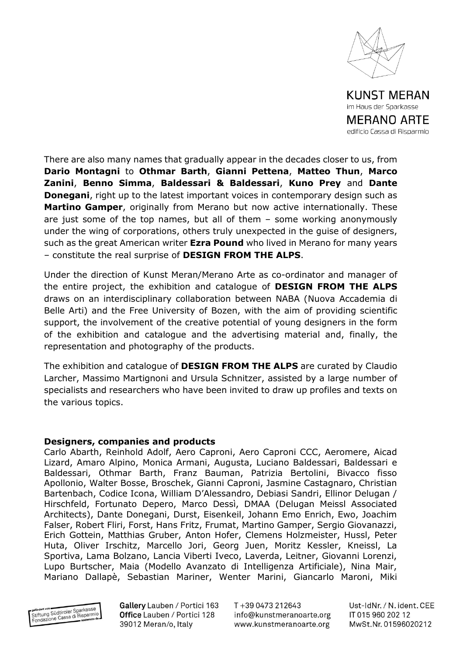

**MERANO ARTE** edificio Cassa di Risparmio

There are also many names that gradually appear in the decades closer to us, from **Dario Montagni** to **Othmar Barth**, **Gianni Pettena**, **Matteo Thun**, **Marco Zanini**, **Benno Simma**, **Baldessari & Baldessari**, **Kuno Prey** and **Dante Donegani**, right up to the latest important voices in contemporary design such as **Martino Gamper**, originally from Merano but now active internationally. These are just some of the top names, but all of them – some working anonymously under the wing of corporations, others truly unexpected in the guise of designers, such as the great American writer **Ezra Pound** who lived in Merano for many years – constitute the real surprise of **DESIGN FROM THE ALPS**.

Under the direction of Kunst Meran/Merano Arte as co-ordinator and manager of the entire project, the exhibition and catalogue of **DESIGN FROM THE ALPS** draws on an interdisciplinary collaboration between NABA (Nuova Accademia di Belle Arti) and the Free University of Bozen, with the aim of providing scientific support, the involvement of the creative potential of young designers in the form of the exhibition and catalogue and the advertising material and, finally, the representation and photography of the products.

The exhibition and catalogue of **DESIGN FROM THE ALPS** are curated by Claudio Larcher, Massimo Martignoni and Ursula Schnitzer, assisted by a large number of specialists and researchers who have been invited to draw up profiles and texts on the various topics.

## **Designers, companies and products**

Carlo Abarth, Reinhold Adolf, Aero Caproni, Aero Caproni CCC, Aeromere, Aicad Lizard, Amaro Alpino, Monica Armani, Augusta, Luciano Baldessari, Baldessari e Baldessari, Othmar Barth, Franz Bauman, Patrizia Bertolini, Bivacco fisso Apollonio, Walter Bosse, Broschek, Gianni Caproni, Jasmine Castagnaro, Christian Bartenbach, Codice Icona, William D'Alessandro, Debiasi Sandri, Ellinor Delugan / Hirschfeld, Fortunato Depero, Marco Dessì, DMAA (Delugan Meissl Associated Architects), Dante Donegani, Durst, Eisenkeil, Johann Emo Enrich, Ewo, Joachim Falser, Robert Fliri, Forst, Hans Fritz, Frumat, Martino Gamper, Sergio Giovanazzi, Erich Gottein, Matthias Gruber, Anton Hofer, Clemens Holzmeister, Hussl, Peter Huta, Oliver Irschitz, Marcello Jori, Georg Juen, Moritz Kessler, Kneissl, La Sportiva, Lama Bolzano, Lancia Viberti Iveco, Laverda, Leitner, Giovanni Lorenzi, Lupo Burtscher, Maia (Modello Avanzato di Intelligenza Artificiale), Nina Mair, Mariano Dallapè, Sebastian Mariner, Wenter Marini, Giancarlo Maroni, Miki



Gallery Lauben / Portici 163 Office Lauben / Portici 128 39012 Meran/o, Italy

T+39 0473 212643 info@kunstmeranoarte.org www.kunstmeranoarte.org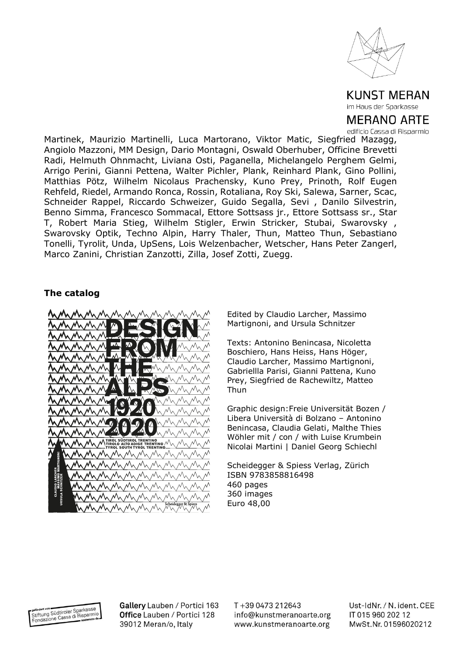

**KUNST MERAN** im Haus der Sparkasse

**MERANO ARTE** edificio Cassa di Risparmio

Martinek, Maurizio Martinelli, Luca Martorano, Viktor Matic, Siegfried Mazagg, Angiolo Mazzoni, MM Design, Dario Montagni, Oswald Oberhuber, Officine Brevetti Radi, Helmuth Ohnmacht, Liviana Osti, Paganella, Michelangelo Perghem Gelmi, Arrigo Perini, Gianni Pettena, Walter Pichler, Plank, Reinhard Plank, Gino Pollini, Matthias Pötz, Wilhelm Nicolaus Prachensky, Kuno Prey, Prinoth, Rolf Eugen Rehfeld, Riedel, Armando Ronca, Rossin, Rotaliana, Roy Ski, Salewa, Sarner, Scac, Schneider Rappel, Riccardo Schweizer, Guido Segalla, Sevi , Danilo Silvestrin, Benno Simma, Francesco Sommacal, Ettore Sottsass jr., Ettore Sottsass sr., Star T, Robert Maria Stieg, Wilhelm Stigler, Erwin Stricker, Stubai, Swarovsky , Swarovsky Optik, Techno Alpin, Harry Thaler, Thun, Matteo Thun, Sebastiano Tonelli, Tyrolit, Unda, UpSens, Lois Welzenbacher, Wetscher, Hans Peter Zangerl, Marco Zanini, Christian Zanzotti, Zilla, Josef Zotti, Zuegg.

## **The catalog**



Edited by Claudio Larcher, Massimo Martignoni, and Ursula Schnitzer

Texts: Antonino Benincasa, Nicoletta Boschiero, Hans Heiss, Hans Höger, Claudio Larcher, Massimo Martignoni, Gabriellla Parisi, Gianni Pattena, Kuno Prey, Siegfried de Rachewiltz, Matteo Thun

Graphic design:Freie Universität Bozen / Libera Università di Bolzano – Antonino Benincasa, Claudia Gelati, Malthe Thies Wöhler mit / con / with Luise Krumbein Nicolai Martini | Daniel Georg Schiechl

Scheidegger & Spiess Verlag, Zürich ISBN 9783858816498 460 pages 360 images Euro 48,00

gefördert von<br>Stiftung Südtiroler Sparkasse<br>Fondazione Cassa di Risparmio

Gallery Lauben / Portici 163 Office Lauben / Portici 128 39012 Meran/o, Italy

T+39 0473 212643 info@kunstmeranoarte.org www.kunstmeranoarte.org